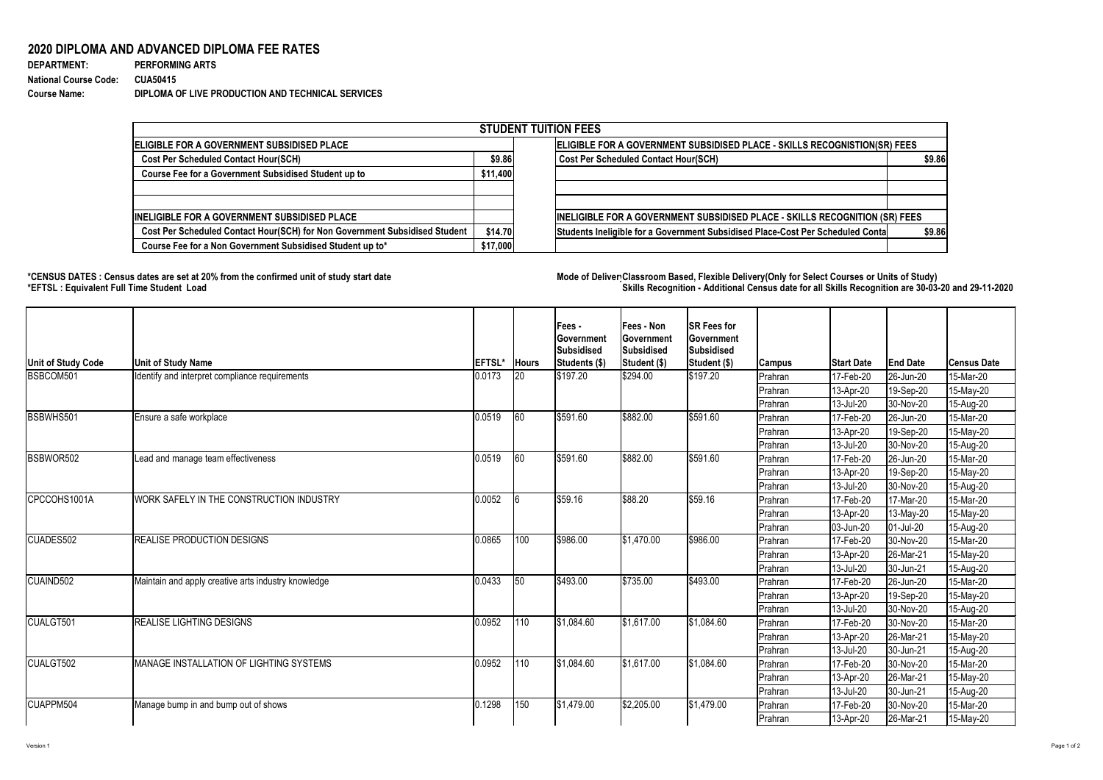## **2020 DIPLOMA AND ADVANCED DIPLOMA FEE RATES**

| <b>DEPARTMENT:</b>           | <b>PERFORMING ARTS</b>                            |
|------------------------------|---------------------------------------------------|
| <b>National Course Code:</b> | <b>CUA50415</b>                                   |
| <b>Course Name:</b>          | DIPLOMA OF LIVE PRODUCTION AND TECHNICAL SERVICES |

## **\*CENSUS DATES : Census dates are set at 20% from the confirmed unit of study start date Mode of DeliveryClassroom Based, Flexible Delivery(Only for Select Courses or Units of Study) \*EFTSL : Equivalent Full Time Student Load Skills Recognition - Additional Census date for all Skills Recognition are 30-03-20 and 29-11-2020**



| <b>STUDENT TUITION FEES</b>                                                |                                                                           |                                                                                |        |  |  |  |  |
|----------------------------------------------------------------------------|---------------------------------------------------------------------------|--------------------------------------------------------------------------------|--------|--|--|--|--|
| <b>ELIGIBLE FOR A GOVERNMENT SUBSIDISED PLACE</b>                          | ELIGIBLE FOR A GOVERNMENT SUBSIDISED PLACE - SKILLS RECOGNISTION(SR) FEES |                                                                                |        |  |  |  |  |
| <b>Cost Per Scheduled Contact Hour(SCH)</b>                                |                                                                           | <b>Cost Per Scheduled Contact Hour(SCH)</b>                                    | \$9.86 |  |  |  |  |
| <b>Course Fee for a Government Subsidised Student up to</b>                | \$11,400                                                                  |                                                                                |        |  |  |  |  |
| <b>INELIGIBLE FOR A GOVERNMENT SUBSIDISED PLACE</b>                        |                                                                           | INELIGIBLE FOR A GOVERNMENT SUBSIDISED PLACE - SKILLS RECOGNITION (SR) FEES    |        |  |  |  |  |
| Cost Per Scheduled Contact Hour(SCH) for Non Government Subsidised Student | \$14.70                                                                   | Students Ineligible for a Government Subsidised Place-Cost Per Scheduled Conta | \$9.86 |  |  |  |  |
| Course Fee for a Non Government Subsidised Student up to*                  | \$17,000                                                                  |                                                                                |        |  |  |  |  |

| Unit of Study Code | <b>Unit of Study Name</b>                           | <b>EFTSL*</b> | <b>Hours</b> | Fees -<br> Government<br><b>Subsidised</b><br>Students (\$) | <b>Fees - Non</b><br><b>Government</b><br>Subsidised<br>Student (\$) | <b>SR Fees for</b><br><b> Government</b><br>Subsidised<br>Student (\$) | ∣Campus         | <b>Start Date</b> | <b>End Date</b> | <b>Census Date</b> |
|--------------------|-----------------------------------------------------|---------------|--------------|-------------------------------------------------------------|----------------------------------------------------------------------|------------------------------------------------------------------------|-----------------|-------------------|-----------------|--------------------|
| BSBCOM501          | Identify and interpret compliance requirements      | 0.0173        | $ 20\rangle$ | \$197.20                                                    | \$294.00                                                             | \$197.20                                                               | Prahran         | 17-Feb-20         | 26-Jun-20       | 15-Mar-20          |
|                    |                                                     |               |              |                                                             |                                                                      |                                                                        | Prahran         | 13-Apr-20         | 19-Sep-20       | 15-May-20          |
|                    |                                                     |               |              |                                                             |                                                                      |                                                                        | Prahran         | 13-Jul-20         | 30-Nov-20       | 15-Aug-20          |
| BSBWHS501          | Ensure a safe workplace                             | 0.0519        | 60           | \$591.60                                                    | \$882.00                                                             | \$591.60                                                               | Prahran         | 17-Feb-20         | 26-Jun-20       | 15-Mar-20          |
|                    |                                                     |               |              |                                                             |                                                                      |                                                                        | Prahran         | 13-Apr-20         | 19-Sep-20       | 15-May-20          |
|                    |                                                     |               |              |                                                             |                                                                      |                                                                        | Prahran         | 13-Jul-20         | 30-Nov-20       | 15-Aug-20          |
| BSBWOR502          | Lead and manage team effectiveness                  | 0.0519        | 60           | \$591.60                                                    | \$882.00                                                             | \$591.60                                                               | Prahran         | 17-Feb-20         | 26-Jun-20       | 15-Mar-20          |
|                    |                                                     |               |              |                                                             |                                                                      |                                                                        | Prahran         | 13-Apr-20         | 19-Sep-20       | 15-May-20          |
|                    |                                                     |               |              |                                                             |                                                                      |                                                                        | <b>Prahran</b>  | $ 13 -$ Jul-20    | 30-Nov-20       | 15-Aug-20          |
| CPCCOHS1001A       | WORK SAFELY IN THE CONSTRUCTION INDUSTRY            | 0.0052        |              | \$59.16                                                     | \$88.20                                                              | \$59.16                                                                | Prahran         | 17-Feb-20         | 17-Mar-20       | 15-Mar-20          |
|                    |                                                     |               |              |                                                             |                                                                      |                                                                        | Prahran         | $13-Apr-20$       | 13-May-20       | 15-May-20          |
|                    |                                                     |               |              |                                                             |                                                                      |                                                                        | Prahran         | $ 03 - Jun - 20 $ | 01-Jul-20       | 15-Aug-20          |
| CUADES502          | <b>REALISE PRODUCTION DESIGNS</b>                   | 0.0865        | 100          | \$986.00                                                    | \$1,470.00                                                           | \$986.00                                                               | Prahran         | 17-Feb-20         | 30-Nov-20       | 15-Mar-20          |
|                    |                                                     |               |              |                                                             |                                                                      |                                                                        | <b>IPrahran</b> | $ 13 - Apr - 20 $ | 26-Mar-21       | 15-May-20          |
|                    |                                                     |               |              |                                                             |                                                                      |                                                                        | Prahran         | 13-Jul-20         | 30-Jun-21       | 15-Aug-20          |
| CUAIND502          | Maintain and apply creative arts industry knowledge | 0.0433        | 50           | \$493.00                                                    | \$735.00                                                             | \$493.00                                                               | Prahran         | 17-Feb-20         | 26-Jun-20       | 15-Mar-20          |
|                    |                                                     |               |              |                                                             |                                                                      |                                                                        | Prahran         | 13-Apr-20         | 19-Sep-20       | 15-May-20          |
|                    |                                                     |               |              |                                                             |                                                                      |                                                                        | Prahran         | 13-Jul-20         | 30-Nov-20       | 15-Aug-20          |
| CUALGT501          | <b>REALISE LIGHTING DESIGNS</b>                     | 0.0952        | 110          | \$1,084.60                                                  | \$1,617.00                                                           | \$1,084.60                                                             | <b>Prahran</b>  | 17-Feb-20         | 30-Nov-20       | 15-Mar-20          |
|                    |                                                     |               |              |                                                             |                                                                      |                                                                        | Prahran         | 13-Apr-20         | $ 26$ -Mar-21   | 15-May-20          |
|                    |                                                     |               |              |                                                             |                                                                      |                                                                        | Prahran         | 13-Jul-20         | 30-Jun-21       | 15-Aug-20          |
| CUALGT502          | MANAGE INSTALLATION OF LIGHTING SYSTEMS             | 0.0952        | 110          | \$1,084.60                                                  | \$1,617.00                                                           | \$1,084.60                                                             | Prahran         | 17-Feb-20         | 30-Nov-20       | 15-Mar-20          |
|                    |                                                     |               |              |                                                             |                                                                      |                                                                        | Prahran         | 13-Apr-20         | $ 26$ -Mar-21   | 15-May-20          |
|                    |                                                     |               |              |                                                             |                                                                      |                                                                        | Prahran         | 13-Jul-20         | 30-Jun-21       | 15-Aug-20          |
| CUAPPM504          | Manage bump in and bump out of shows                | 0.1298        | 150          | \$1,479.00                                                  | $\frac{1}{2}$ ,205.00                                                | \$1,479.00                                                             | Prahran         | 17-Feb-20         | 30-Nov-20       | 15-Mar-20          |
|                    |                                                     |               |              |                                                             |                                                                      |                                                                        | Prahran         | $ 13 - Apr - 20 $ | $ 26$ -Mar-21   | 15-May-20          |